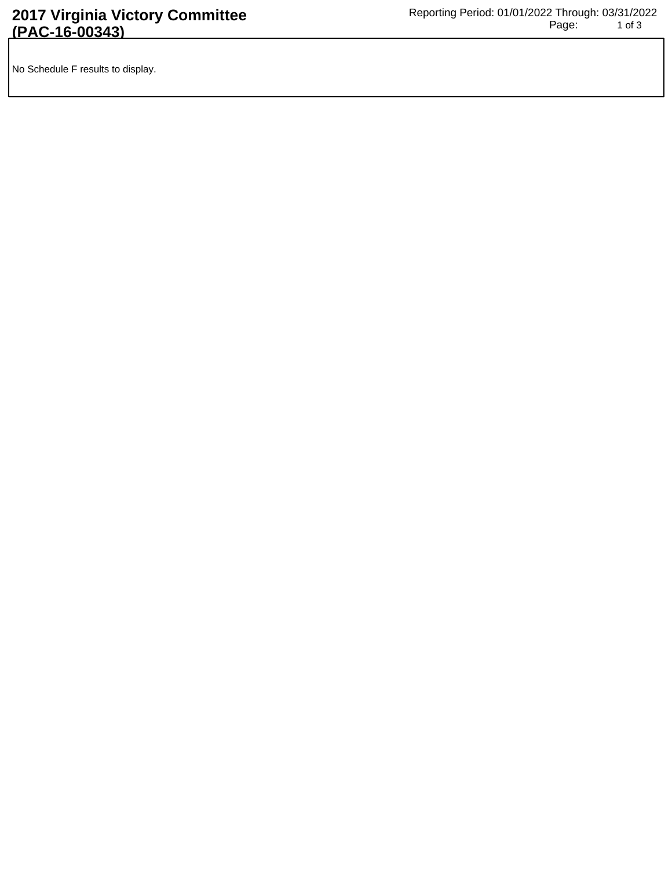No Schedule F results to display.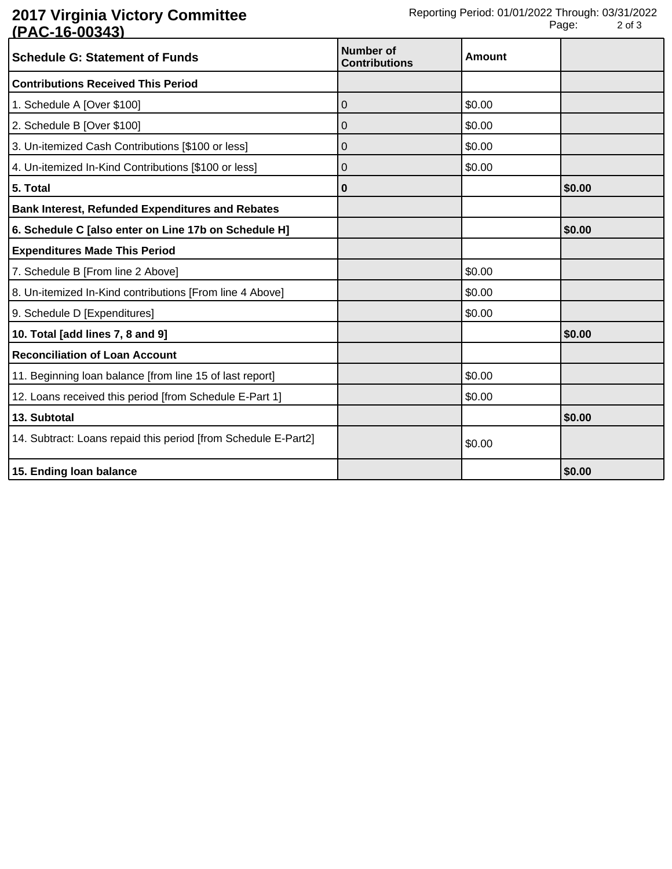## **2017 Virginia Victory Committee (PAC-16-00343)**

| <b>Schedule G: Statement of Funds</b>                          | <b>Number of</b><br><b>Contributions</b> | Amount |        |
|----------------------------------------------------------------|------------------------------------------|--------|--------|
| <b>Contributions Received This Period</b>                      |                                          |        |        |
| 1. Schedule A [Over \$100]                                     | 0                                        | \$0.00 |        |
| 2. Schedule B [Over \$100]                                     | 0                                        | \$0.00 |        |
| 3. Un-itemized Cash Contributions [\$100 or less]              | 0                                        | \$0.00 |        |
| 4. Un-itemized In-Kind Contributions [\$100 or less]           | 0                                        | \$0.00 |        |
| 5. Total                                                       | 0                                        |        | \$0.00 |
| <b>Bank Interest, Refunded Expenditures and Rebates</b>        |                                          |        |        |
| 6. Schedule C [also enter on Line 17b on Schedule H]           |                                          |        | \$0.00 |
| <b>Expenditures Made This Period</b>                           |                                          |        |        |
| 7. Schedule B [From line 2 Above]                              |                                          | \$0.00 |        |
| 8. Un-itemized In-Kind contributions [From line 4 Above]       |                                          | \$0.00 |        |
| 9. Schedule D [Expenditures]                                   |                                          | \$0.00 |        |
| 10. Total [add lines 7, 8 and 9]                               |                                          |        | \$0.00 |
| <b>Reconciliation of Loan Account</b>                          |                                          |        |        |
| 11. Beginning loan balance [from line 15 of last report]       |                                          | \$0.00 |        |
| 12. Loans received this period [from Schedule E-Part 1]        |                                          | \$0.00 |        |
| 13. Subtotal                                                   |                                          |        | \$0.00 |
| 14. Subtract: Loans repaid this period [from Schedule E-Part2] |                                          | \$0.00 |        |
| 15. Ending loan balance                                        |                                          |        | \$0.00 |